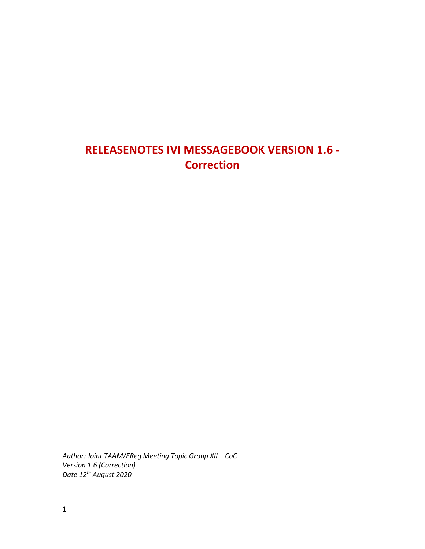## **RELEASENOTES IVI MESSAGEBOOK VERSION 1.6 - Correction**

*Author: Joint TAAM/EReg Meeting Topic Group XII – CoC Version 1.6 (Correction) Date 12 th August 2020*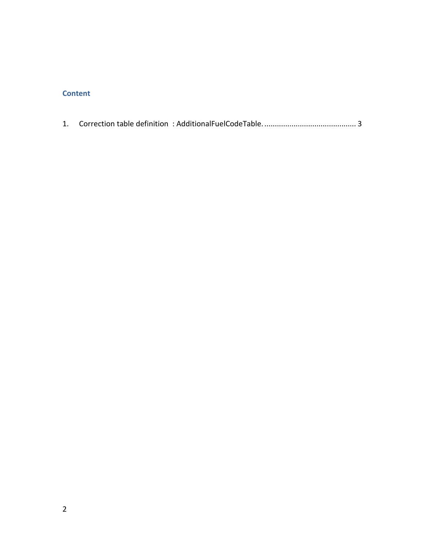## **Content**

|--|--|--|--|